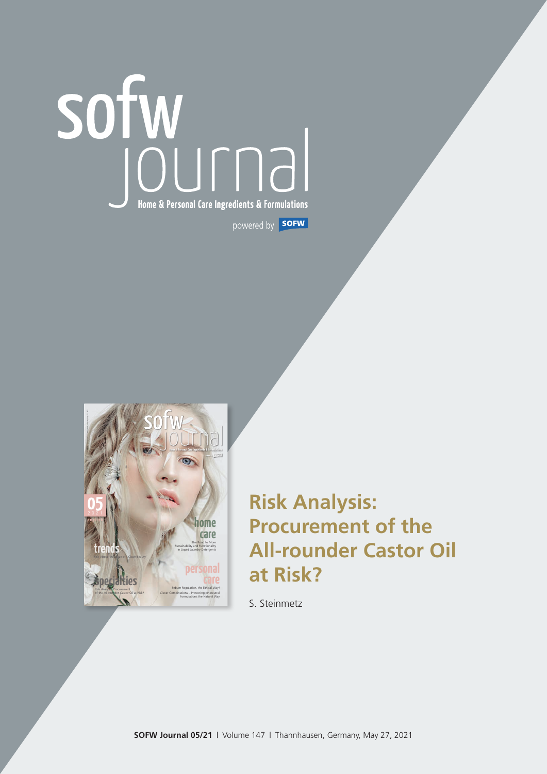# Home & Personal Care Ingredients & Formulations powered by **SOFW**



# **Risk Analysis: Procurement of the All-rounder Castor Oil at Risk?**

S. Steinmetz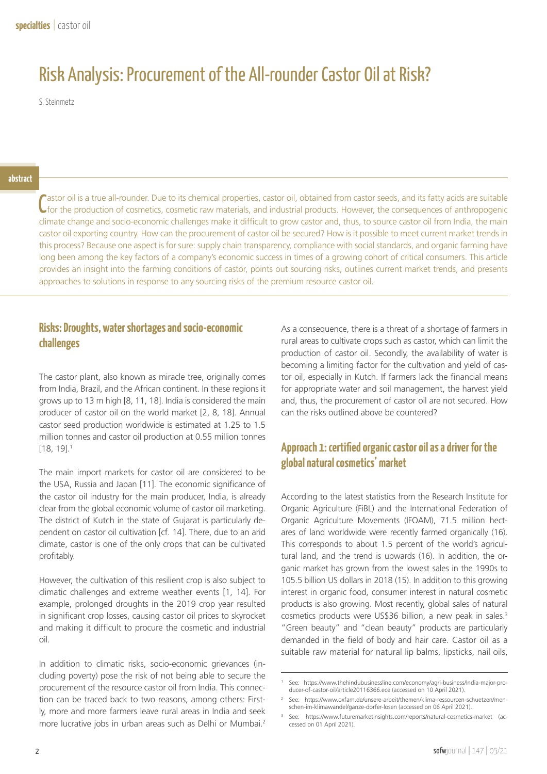## Risk Analysis: Procurement of the All-rounder Castor Oil at Risk?

S. Steinmetz

Castor oil is a true all-rounder. Due to its chemical properties, castor oil, obtained from castor seeds, and its fatty acids are suitable C for the production of cosmetics, cosmetic raw materials, and industrial products. astor oil is a true all-rounder. Due to its chemical properties, castor oil, obtained from castor seeds, and its fatty acids are suitable climate change and socio-economic challenges make it difficult to grow castor and, thus, to source castor oil from India, the main castor oil exporting country. How can the procurement of castor oil be secured? How is it possible to meet current market trends in this process? Because one aspect is for sure: supply chain transparency, compliance with social standards, and organic farming have long been among the key factors of a company's economic success in times of a growing cohort of critical consumers. This article provides an insight into the farming conditions of castor, points out sourcing risks, outlines current market trends, and presents approaches to solutions in response to any sourcing risks of the premium resource castor oil.

### **Risks: Droughts, water shortages and socio-economic challenges**

The castor plant, also known as miracle tree, originally comes from India, Brazil, and the African continent. In these regions it grows up to 13 m high [8, 11, 18]. India is considered the main producer of castor oil on the world market [2, 8, 18]. Annual castor seed production worldwide is estimated at 1.25 to 1.5 million tonnes and castor oil production at 0.55 million tonnes [18, 19].1

The main import markets for castor oil are considered to be the USA, Russia and Japan [11]. The economic significance of the castor oil industry for the main producer, India, is already clear from the global economic volume of castor oil marketing. The district of Kutch in the state of Gujarat is particularly dependent on castor oil cultivation [cf. 14]. There, due to an arid climate, castor is one of the only crops that can be cultivated profitably.

However, the cultivation of this resilient crop is also subject to climatic challenges and extreme weather events [1, 14]. For example, prolonged droughts in the 2019 crop year resulted in significant crop losses, causing castor oil prices to skyrocket and making it difficult to procure the cosmetic and industrial oil.

In addition to climatic risks, socio-economic grievances (including poverty) pose the risk of not being able to secure the procurement of the resource castor oil from India. This connection can be traced back to two reasons, among others: Firstly, more and more farmers leave rural areas in India and seek more lucrative jobs in urban areas such as Delhi or Mumbai.2

As a consequence, there is a threat of a shortage of farmers in rural areas to cultivate crops such as castor, which can limit the production of castor oil. Secondly, the availability of water is becoming a limiting factor for the cultivation and yield of castor oil, especially in Kutch. If farmers lack the financial means for appropriate water and soil management, the harvest yield and, thus, the procurement of castor oil are not secured. How can the risks outlined above be countered?

## **Approach 1: certified organic castor oil as a driver for the global natural cosmetics' market**

According to the latest statistics from the Research Institute for Organic Agriculture (FiBL) and the International Federation of Organic Agriculture Movements (IFOAM), 71.5 million hectares of land worldwide were recently farmed organically (16). This corresponds to about 1.5 percent of the world's agricultural land, and the trend is upwards (16). In addition, the organic market has grown from the lowest sales in the 1990s to 105.5 billion US dollars in 2018 (15). In addition to this growing interest in organic food, consumer interest in natural cosmetic products is also growing. Most recently, global sales of natural cosmetics products were US\$36 billion, a new peak in sales.<sup>3</sup> "Green beauty" and "clean beauty" products are particularly demanded in the field of body and hair care. Castor oil as a suitable raw material for natural lip balms, lipsticks, nail oils,

<sup>1</sup> See: https://www.thehindubusinessline.com/economy/agri-business/India-major-producer-of-castor-oil/article20116366.ece (accessed on 10 April 2021).

<sup>2</sup> See: https://www.oxfam.de/unsere-arbeit/themen/klima-ressourcen-schuetzen/menschen-im-klimawandel/ganze-dorfer-losen (accessed on 06 April 2021).

<sup>3</sup> See: https://www.futuremarketinsights.com/reports/natural-cosmetics-market (accessed on 01 April 2021).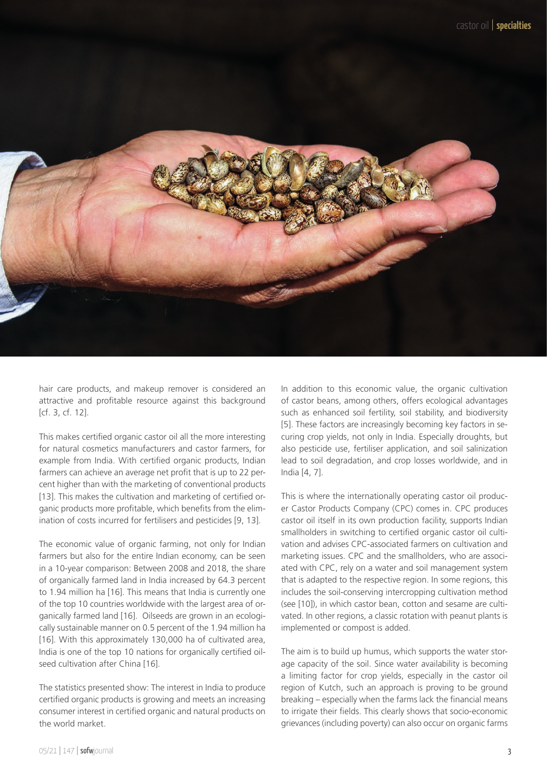

hair care products, and makeup remover is considered an attractive and profitable resource against this background [cf. 3, cf. 12].

This makes certified organic castor oil all the more interesting for natural cosmetics manufacturers and castor farmers, for example from India. With certified organic products, Indian farmers can achieve an average net profit that is up to 22 percent higher than with the marketing of conventional products [13]. This makes the cultivation and marketing of certified organic products more profitable, which benefits from the elimination of costs incurred for fertilisers and pesticides [9, 13].

The economic value of organic farming, not only for Indian farmers but also for the entire Indian economy, can be seen in a 10-year comparison: Between 2008 and 2018, the share of organically farmed land in India increased by 64.3 percent to 1.94 million ha [16]. This means that India is currently one of the top 10 countries worldwide with the largest area of organically farmed land [16]. Oilseeds are grown in an ecologically sustainable manner on 0.5 percent of the 1.94 million ha [16]. With this approximately 130,000 ha of cultivated area, India is one of the top 10 nations for organically certified oilseed cultivation after China [16].

The statistics presented show: The interest in India to produce certified organic products is growing and meets an increasing consumer interest in certified organic and natural products on the world market.

In addition to this economic value, the organic cultivation of castor beans, among others, offers ecological advantages such as enhanced soil fertility, soil stability, and biodiversity [5]. These factors are increasingly becoming key factors in securing crop yields, not only in India. Especially droughts, but also pesticide use, fertiliser application, and soil salinization lead to soil degradation, and crop losses worldwide, and in India [4, 7].

This is where the internationally operating castor oil producer Castor Products Company (CPC) comes in. CPC produces castor oil itself in its own production facility, supports Indian smallholders in switching to certified organic castor oil cultivation and advises CPC-associated farmers on cultivation and marketing issues. CPC and the smallholders, who are associated with CPC, rely on a water and soil management system that is adapted to the respective region. In some regions, this includes the soil-conserving intercropping cultivation method (see [10]), in which castor bean, cotton and sesame are cultivated. In other regions, a classic rotation with peanut plants is implemented or compost is added.

The aim is to build up humus, which supports the water storage capacity of the soil. Since water availability is becoming a limiting factor for crop yields, especially in the castor oil region of Kutch, such an approach is proving to be ground breaking – especially when the farms lack the financial means to irrigate their fields. This clearly shows that socio-economic grievances (including poverty) can also occur on organic farms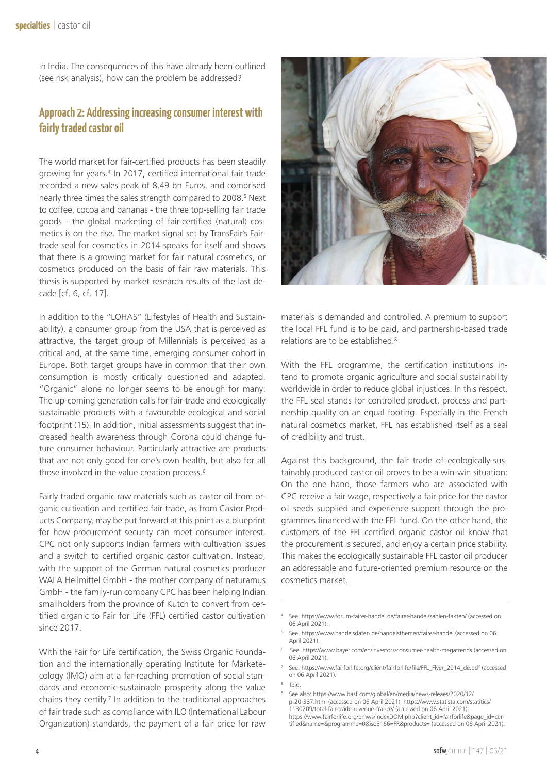in India. The consequences of this have already been outlined (see risk analysis), how can the problem be addressed?

#### **Approach 2: Addressing increasing consumer interest with fairly traded castor oil**

The world market for fair-certified products has been steadily growing for years.4 In 2017, certified international fair trade recorded a new sales peak of 8.49 bn Euros, and comprised nearly three times the sales strength compared to 2008.<sup>5</sup> Next to coffee, cocoa and bananas - the three top-selling fair trade goods - the global marketing of fair-certified (natural) cosmetics is on the rise. The market signal set by TransFair's Fairtrade seal for cosmetics in 2014 speaks for itself and shows that there is a growing market for fair natural cosmetics, or cosmetics produced on the basis of fair raw materials. This thesis is supported by market research results of the last decade [cf. 6, cf. 17].

In addition to the "LOHAS" (Lifestyles of Health and Sustainability), a consumer group from the USA that is perceived as attractive, the target group of Millennials is perceived as a critical and, at the same time, emerging consumer cohort in Europe. Both target groups have in common that their own consumption is mostly critically questioned and adapted. "Organic" alone no longer seems to be enough for many: The up-coming generation calls for fair-trade and ecologically sustainable products with a favourable ecological and social footprint (15). In addition, initial assessments suggest that increased health awareness through Corona could change future consumer behaviour. Particularly attractive are products that are not only good for one's own health, but also for all those involved in the value creation process.6

Fairly traded organic raw materials such as castor oil from organic cultivation and certified fair trade, as from Castor Products Company, may be put forward at this point as a blueprint for how procurement security can meet consumer interest. CPC not only supports Indian farmers with cultivation issues and a switch to certified organic castor cultivation. Instead, with the support of the German natural cosmetics producer WALA Heilmittel GmbH - the mother company of naturamus GmbH - the family-run company CPC has been helping Indian smallholders from the province of Kutch to convert from certified organic to Fair for Life (FFL) certified castor cultivation since 2017.

With the Fair for Life certification, the Swiss Organic Foundation and the internationally operating Institute for Marketecology (IMO) aim at a far-reaching promotion of social standards and economic-sustainable prosperity along the value chains they certify.<sup>7</sup> In addition to the traditional approaches of fair trade such as compliance with ILO (International Labour Organization) standards, the payment of a fair price for raw



materials is demanded and controlled. A premium to support the local FFL fund is to be paid, and partnership-based trade relations are to be established.8

With the FFL programme, the certification institutions intend to promote organic agriculture and social sustainability worldwide in order to reduce global injustices. In this respect, the FFL seal stands for controlled product, process and partnership quality on an equal footing. Especially in the French natural cosmetics market, FFL has established itself as a seal of credibility and trust.

Against this background, the fair trade of ecologically-sustainably produced castor oil proves to be a win-win situation: On the one hand, those farmers who are associated with CPC receive a fair wage, respectively a fair price for the castor oil seeds supplied and experience support through the programmes financed with the FFL fund. On the other hand, the customers of the FFL-certified organic castor oil know that the procurement is secured, and enjoy a certain price stability. This makes the ecologically sustainable FFL castor oil producer an addressable and future-oriented premium resource on the cosmetics market.

<sup>8</sup> Ibid.

<sup>4</sup> See: https://www.forum-fairer-handel.de/fairer-handel/zahlen-fakten/ (accessed on 06 April 2021)

<sup>5</sup> See: https://www.handelsdaten.de/handelsthemen/fairer-handel (accessed on 06 April 2021).

<sup>6</sup> See: https://www.bayer.com/en/investors/consumer-health-megatrends (accessed on 06 April 2021).

<sup>7</sup> See: https://www.fairforlife.org/client/fairforlife/file/FFL\_Flyer\_2014\_de.pdf (accessed on 06 April 2021).

<sup>9</sup> See also: https://www.basf.com/global/en/media/news-releaes/2020/12/ p-20-387.html (accessed on 06 April 2021); https://www.statista.com/statitics/ 1130209/total-fair-trade-revenue-france/ (accessed on 06 April 2021); https://www.fairforlife.org/pmws/indexDOM.php?client\_id=fairforlife&page\_id=certified&name=&programme=0&iso3166=FR&products= (accessed on 06 April 2021).